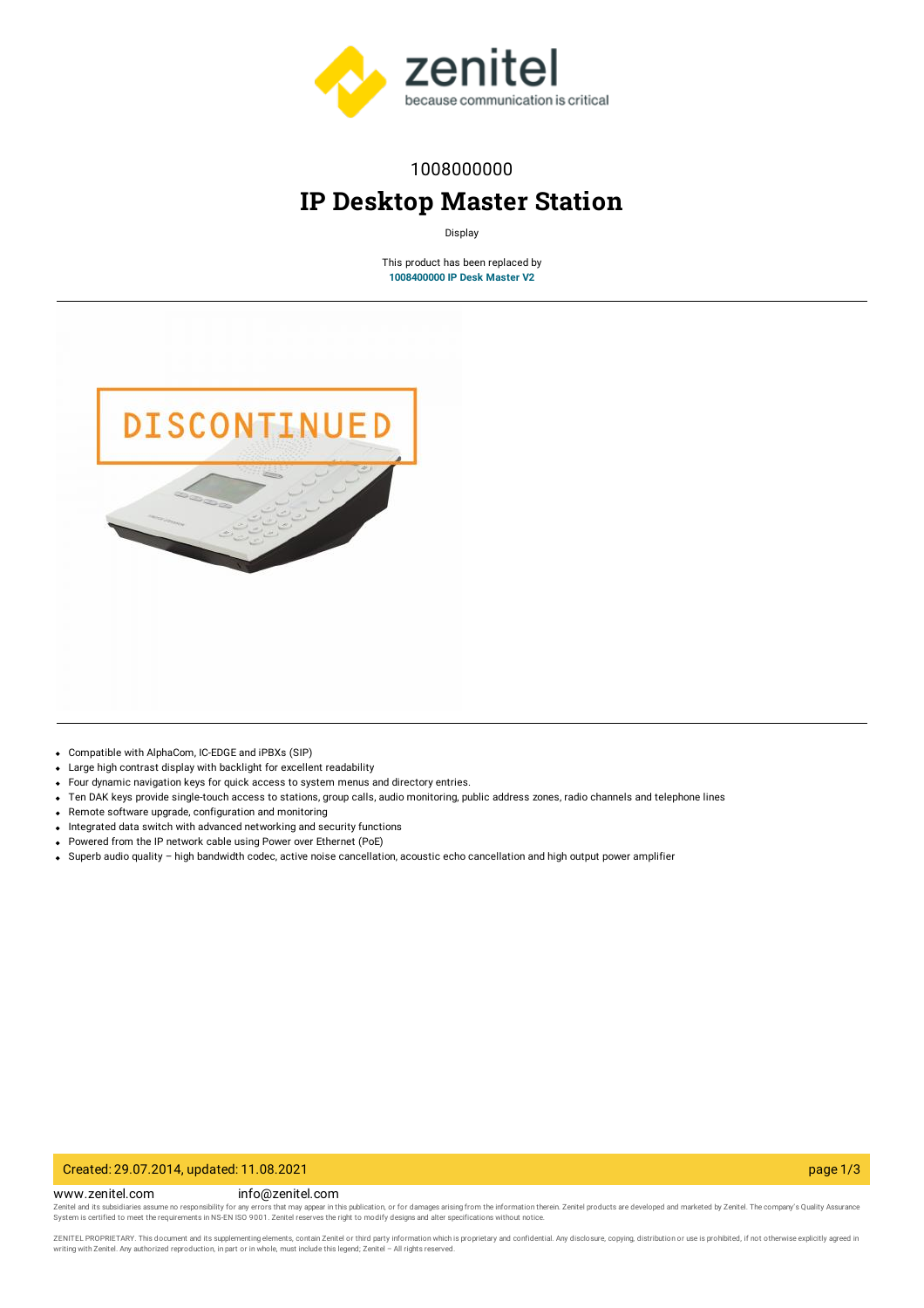

### 1008000000

# **IP Desktop Master Station**

Display

This product has been replaced by **[1008400000](https://www.zenitel.com/product/ip-desk-master-v2) IP Desk Master V2**



- Compatible with AlphaCom, IC-EDGE and iPBXs (SIP)
- Large high contrast display with backlight for excellent readability
- Four dynamic navigation keys for quick access to system menus and directory entries.
- $\bullet$ Ten DAK keys provide single-touch access to stations, group calls, audio monitoring, public address zones, radio channels and telephone lines
- Remote software upgrade, configuration and monitoring
- Integrated data switch with advanced networking and security functions
- Powered from the IP network cable using Power over Ethernet (PoE)
- Superb audio quality high bandwidth codec, active noise cancellation, acoustic echo cancellation and high output power amplifier

#### Created: 29.07.2014, updated: 11.08.2021 page 1/3

www.zenitel.com info@zenitel.com

Zenitel and its subsidiaries assume no responsibility for any errors that may appear in this publication, or for damages arising from the information therein. Zenitel products are developed and marketed by Zenitel. The com

ZENITEL PROPRIETARY. This document and its supplementing elements, contain Zenitel or third party information which is proprietary and confidential. Any disclosure, copying, distribution or use is prohibited, if not otherw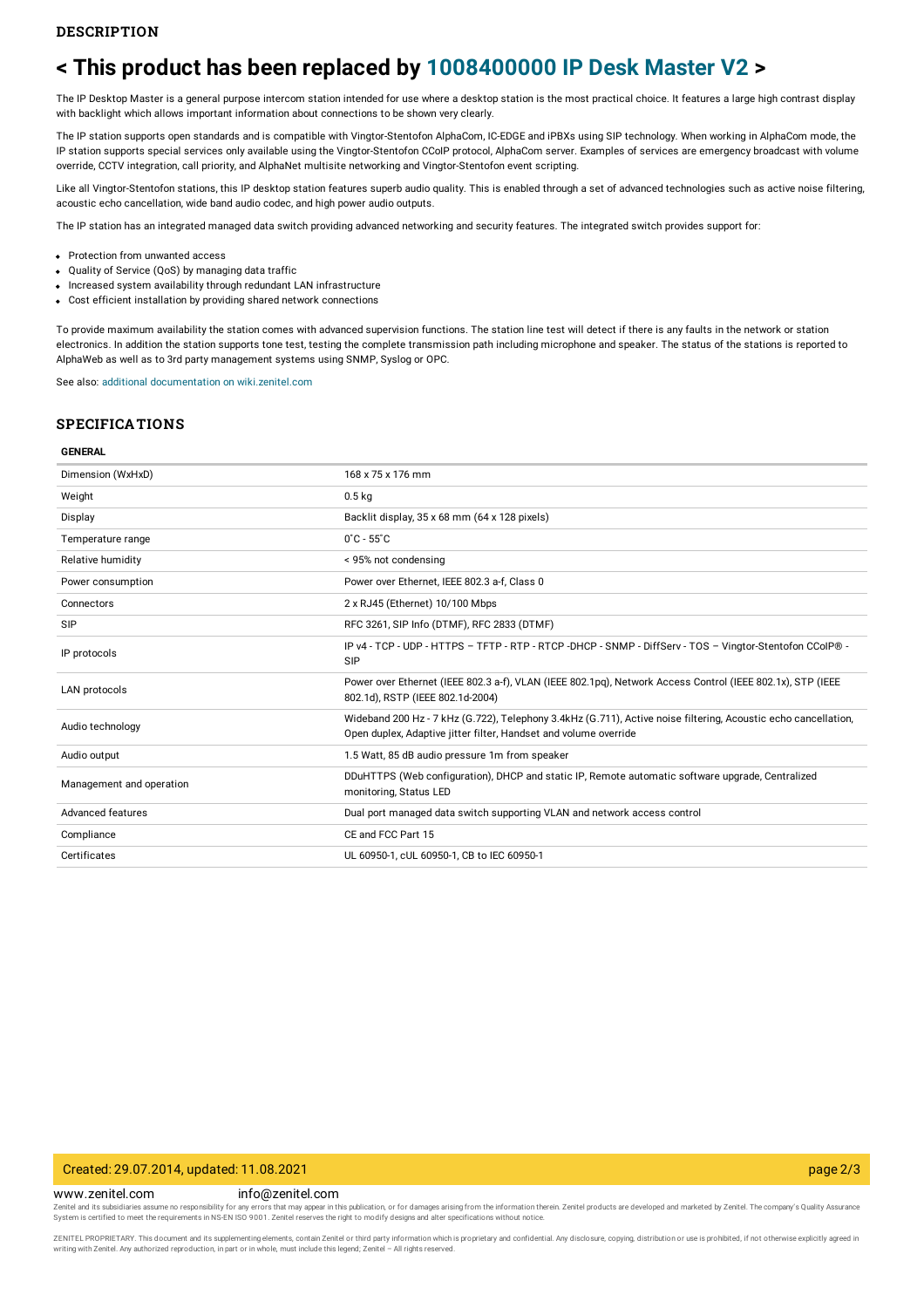## **< This product has been replaced by [1008400000](https://www.zenitel.com/product/ip-desk-master-v2) IP Desk Master V2 >**

The IP Desktop Master is a general purpose intercom station intended for use where a desktop station is the most practical choice. It features a large high contrast display with backlight which allows important information about connections to be shown very clearly.

The IP station supports open standards and is compatible with Vingtor-Stentofon AlphaCom, IC-EDGE and iPBXs using SIP technology. When working in AlphaCom mode, the IP station supports special services only available using the Vingtor-Stentofon CCoIP protocol, AlphaCom server. Examples of services are emergency broadcast with volume override, CCTV integration, call priority, and AlphaNet multisite networking and Vingtor-Stentofon event scripting.

Like all Vingtor-Stentofon stations, this IP desktop station features superb audio quality. This is enabled through a set of advanced technologies such as active noise filtering, acoustic echo cancellation, wide band audio codec, and high power audio outputs.

The IP station has an integrated managed data switch providing advanced networking and security features. The integrated switch provides support for:

- Protection from unwanted access
- Quality of Service (QoS) by managing data traffic
- Increased system availability through redundant LAN infrastructure
- Cost efficient installation by providing shared network connections

To provide maximum availability the station comes with advanced supervision functions. The station line test will detect if there is any faults in the network or station electronics. In addition the station supports tone test, testing the complete transmission path including microphone and speaker. The status of the stations is reported to AlphaWeb as well as to 3rd party management systems using SNMP, Syslog or OPC.

See also: additional documentation on wiki zenitel.com

#### **SPECIFICATIONS**

#### **GENERAL**

| Dimension (WxHxD)        | 168 x 75 x 176 mm                                                                                                                                                                  |
|--------------------------|------------------------------------------------------------------------------------------------------------------------------------------------------------------------------------|
| Weight                   | 0.5 <sub>kq</sub>                                                                                                                                                                  |
| Display                  | Backlit display, 35 x 68 mm (64 x 128 pixels)                                                                                                                                      |
| Temperature range        | $0^{\circ}$ C - 55 $^{\circ}$ C                                                                                                                                                    |
| Relative humidity        | < 95% not condensing                                                                                                                                                               |
| Power consumption        | Power over Ethernet, IEEE 802.3 a-f, Class 0                                                                                                                                       |
| Connectors               | 2 x RJ45 (Ethernet) 10/100 Mbps                                                                                                                                                    |
| SIP                      | RFC 3261, SIP Info (DTMF), RFC 2833 (DTMF)                                                                                                                                         |
| IP protocols             | IP v4 - TCP - UDP - HTTPS - TFTP - RTP - RTCP -DHCP - SNMP - DiffServ - TOS - Vingtor-Stentofon CColP® -<br>SIP                                                                    |
| LAN protocols            | Power over Ethernet (IEEE 802.3 a-f), VLAN (IEEE 802.1pq), Network Access Control (IEEE 802.1x), STP (IEEE<br>802.1d), RSTP (IEEE 802.1d-2004)                                     |
| Audio technology         | Wideband 200 Hz - 7 kHz (G.722), Telephony 3.4kHz (G.711), Active noise filtering, Acoustic echo cancellation,<br>Open duplex, Adaptive jitter filter, Handset and volume override |
| Audio output             | 1.5 Watt, 85 dB audio pressure 1m from speaker                                                                                                                                     |
| Management and operation | DDuHTTPS (Web configuration), DHCP and static IP, Remote automatic software upgrade, Centralized<br>monitoring, Status LED                                                         |
| Advanced features        | Dual port managed data switch supporting VLAN and network access control                                                                                                           |
| Compliance               | CE and FCC Part 15                                                                                                                                                                 |
| Certificates             | UL 60950-1, cUL 60950-1, CB to IEC 60950-1                                                                                                                                         |
|                          |                                                                                                                                                                                    |

#### Created: 29.07.2014, updated: 11.08.2021 page 2/3

www.zenitel.com info@zenitel.com

Zenitel and its subsidiaries assume no responsibility for any errors that may appear in this publication, or for damages arising from the information therein. Zenitel products are developed and marketed by Zenitel. The com

ZENITEL PROPRIETARY. This document and its supplementing elements, contain Zenitel or third party information which is proprietary and confidential. Any disclosure, copying, distribution or use is prohibited, if not otherw